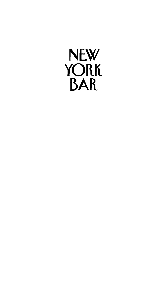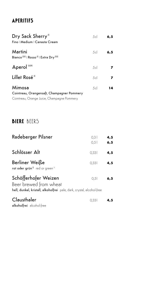## **APERITIFS**

| Dry Sack Sherry <sup>51</sup><br>Fino   Medium   Canasta Cream                                     | 5c | 6,5 |
|----------------------------------------------------------------------------------------------------|----|-----|
| Martini<br>Bianco <sup>2)5)</sup>   Rosso <sup>5)</sup>   Extra Dry <sup>2)5)</sup>                | 5c | 6,5 |
| Aperol <sup>1)5)9)</sup>                                                                           | 5c |     |
| Lillet Rosé <sup>5)</sup>                                                                          | 5c |     |
| Mimosa<br>Cointreau, Orangensaft, Champagner Pommery<br>Cointreau, Orange Juice, Champagne Pommery | 5c | 14  |

## **BIERE** BEERS

| Radeberger Pilsner                                                                                                      | 0.31<br>0.51 | 4,5<br>6, 5 |
|-------------------------------------------------------------------------------------------------------------------------|--------------|-------------|
| Schlösser Alt                                                                                                           | 0.331        | 4,5         |
| Berliner Weiße<br>rot oder grün <sup>1)</sup> red or green <sup>11</sup>                                                | 0.331        | 4,5         |
| Schöfferhofer Weizen<br>Beer brewed from wheat<br>hell, dunkel, kristall, alkoholfrei pale, dark, crystal, alcohol-free | 0.5          | 6, 5        |
| Clausthaler<br>alkoholfrei alcohol-free                                                                                 | 0.331        | 4,5         |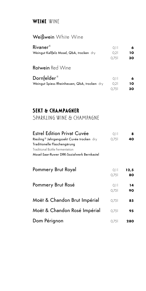## **WEINE** WINE

### Weißwein White Wine

| Rivaner <sup>5)</sup>                        | 0.11 | 6  |
|----------------------------------------------|------|----|
| Weingut Kallfelz Mosel, QbA, trocken dry     | 0.21 | 10 |
|                                              | 0.75 | 30 |
| <b>Rotwein</b> Red Wine                      |      |    |
| Dornfelder <sup>5)</sup>                     | 0.11 | 6  |
| Weingut Spiess Rheinhessen, QbA, trocken dry | 0.21 | 10 |
|                                              | 0.75 | 30 |

## **SEKT & CHAMPAGNER**

SPARKLING WINE & CHAMPAGNE

| <b>Estrel Edition Privat Cuvée</b>                     | 0.11  | 8    |
|--------------------------------------------------------|-------|------|
| Riesling <sup>5)</sup> Jahrgangssekt Cuvée trocken dry | 0.751 | 40   |
| Traditionelle Flaschengärung                           |       |      |
| Traditional Bottle Fermentation                        |       |      |
| Mosel-Saar-Ruwer DRK-Sozialwerk Bernkastel             |       |      |
|                                                        |       |      |
| Pommery Brut Royal                                     | 0.11  | 12,5 |
|                                                        | 0.751 | 80   |
|                                                        |       |      |
| Pommery Brut Rosé                                      | 0.11  | 14   |
|                                                        | 0.75  | 90   |
|                                                        |       |      |
| Moët & Chandon Brut Impérial                           | 0.75  | 85   |
|                                                        |       |      |
| Moët & Chandon Rosé Impérial                           | 0.751 | 95   |
|                                                        |       |      |
| Dom Pérignon                                           | 0.751 | 280  |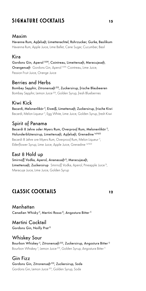## **SIGNATURE COCKTAILS 15**

#### Maxim

Havanna Rum, Apfelsaft, Limettenachtel, Rohrzucker, Gurke, Basilikum Havanna Rum, Apple Juice, Lime Ballet, Cane Sugar, Cucumber, Basil

#### Kira

Gordons Gin, Aperol 1)5)9), Cointreau, Limettensaft, Maracujasaft, Orangensaft Gordons Gin, Aperol 11519), Cointreau, Lime Juice, Passion Fruit Juice, Orange Juice

#### Berries and Herbs

Bombay Sapphir, Zitronensaft 2)3), Zuckersirup, frische Blaubeeren Bombay Sapphir, Lemon Juice<sup>2131</sup>, Golden Syrup, fresh Blueberries

### Kiwi Kick

Bacardi, Melonenlikör<sup>1)</sup>, Eiweiß, Limettensaft, Zuckersirup, frische Kiwi Bacardi, Melon Liqueur<sup>11</sup>, Egg White, Lime Juice, Golden Syrup, fresh Kiwi

### Spirit of Panama

Bacardi 8 Jahre oder Myers Rum, Overproof Rum, Melonenlikör<sup>1)</sup>, Holunderblütensirup, Limettensaft, Apfelsaft, Grenadine <sup>1a)1b)2)</sup> Bacardi 8 Jahre ore Myers Rum, Overproof Rum, Melon Liqueur<sup>11</sup>, Elderflower Syrup, Lime Juice, Apple Juice, Grenadine <sup>1allb121</sup>

### East 8 Hold up

#### Smirnoff Vodka, Aperol, Ananassaft<sup>3)</sup>, Maracujasaft,

Limettensaft, Zuckersirup Smirnoff Vodka, Aperol, Pineapple Juice<sup>31</sup>, Maracuja Juice, Lime Juice, Golden Syrup

## **CLASSIC COCKTAILS <sup>12</sup>**

Manhattan Canadian Whisky<sup>1)</sup>, Martini Rosso<sup>5)</sup>, Angostura Bitter<sup>1)</sup>

Martini Cocktail Gordons Gin, Noilly Prat<sup>5)</sup>

Whiskey Sour

Bourbon Whiskey<sup>1)</sup>, Zitronensaft<sup>233</sup>, Zuckersirup, Angostura Bitter<sup>1)</sup> Bourbon Whiskey<sup>11</sup>, Lemon Juice<sup>2131</sup>, Golden Syrup, Angostura Bitter<sup>11</sup>

Gin Fizz Gordons Gin, Zitronensaft<sup>2)3)</sup>, Zuckersirup, Soda Gordons Gin, Lemon Juice <sup>2131</sup>, Golden Syrup, Soda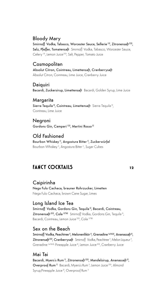### Bloody Mary

Smirnoff Vodka, Tabasco, Worcester Sauce, Sellerie<sup>15)</sup>, Zitronensaft<sup>2)3)</sup>, Salz, Pfeffer, Tomatensaft Smirnoff Vodka, Tabasco, Worcester Sauce, Celery<sup>15</sup>, Lemon Juice<sup>2131</sup>, Salt, Pepper, Tomato Juice

#### Cosmopolitan

Absolut Citron, Cointreau, Limettensaft, Cranberrysaft Absolut Citron, Cointreau, Lime Juice, Cranberry Juice

Daiquiri Bacardi, Zuckersirup, Limettensaft Bacardi, Golden Syrup, Lime Juice

#### Margarita

Sierra Tequila<sup>5)</sup>, Cointreau, Limettensaft Sierra Tequila<sup>51</sup>, Cointreau, Lime Juice

#### Negroni

Gordons Gin, Campari<sup>1151</sup>, Martini Rosso<sup>5)</sup>

### Old Fashioned

Bourbon Whiskey<sup>1)</sup>, Angostura Bitter<sup>1)</sup>, Zuckerwürfel Bourbon Whiskey<sup>11</sup>, Angostura Bitter<sup>11</sup>, Sugar Cubes

### **FANCY COCKTAILS <sup>12</sup>**

#### Caipirinha

Nega Fulo Cachaca, brauner Rohrzucker, Limetten Nega Fulo Cachaca, brown Cane Sugar, Limes

#### Long Island Ice Tea

Smirnoff Vodka, Gordons Gin, Tequila<sup>5)</sup>, Bacardi, Cointreau, Zitronensaft<sup>2)3)</sup>, Cola<sup>1)7)8)</sup> Smirnoff Vodka, Gordons Gin, Tequila<sup>51</sup>, Bacardi, Cointreau, Lemon Juice<sup>2131</sup>, Cola<sup>117181</sup>

#### Sex on the Beach

Smirnoff Vodka, Peachtree<sup>1)</sup>, Melonenlikör<sup>1)</sup>, Grenadine<sup>1a)1b)2)</sup>, Ananassaft<sup>3)</sup>, Zitronensaft<sup>2)3)</sup>, Cranberrysaft Smirnoff Vodka, Peachtree<sup>11</sup>, Melon Liqueur<sup>11</sup>, Grenadine <sup>1a)1b/2),</sup> Pineapple Juice<sup>3)</sup>, Lemon Juice<sup>2/3)</sup>, Cranberry Juice

#### Mai Tai

Bacardi, Myers's Rum<sup>1)</sup>, Zitronensaft<sup>2)3)</sup>, Mandelsirup, Ananassaft<sup>3)</sup>, Overproof Rum<sup>1)</sup> Bacardi, Myers's Rum<sup>11</sup>, Lemon Juice<sup>2131</sup>, Almond Syrup, Pineapple Juice<sup>3</sup>, Overproof Rum<sup>11</sup>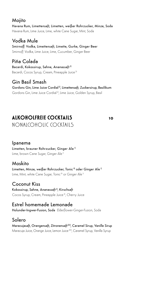#### Mojito

Havana Rum, Limettensaft, Limetten, weißer Rohrzucker, Minze, Soda Havana Rum, Lime Juice, Lime, white Cane Sugar, Mint, Soda

Vodka Mule Smirnoff Vodka, Limettensaft, Limette, Gurke, Ginger Beer Smirnoff Vodka, Lime Juice, Lime, Cucumber, Ginger Beer

Piña Colada Bacardi, Kokossirup, Sahne, Ananassaft<sup>3)</sup> Bacardi, Cocos Syrup, Cream, Pineapple Juice<sup>3</sup>

Gin Basil Smash Gordons Gin, Lime Juice Cordial<sup>2)</sup>, Limettensaft, Zuckersirup, Basilikum Gordons Gin, Lime Juice Cordial<sup>21</sup>, Lime Juice, Golden Syrup, Basil

### **ALKOHOLFREIE COCKTAILS <sup>10</sup>** NONALCOHOLIC COCKTAIL S

#### Ipanema Limetten, brauner Rohrzucker, Ginger Ale<sup>1)</sup>

Lime, brown Cane Sugar, Ginger Ale<sup>11</sup>

### Moskito

Limetten, Minze, weißer Rohrzucker, Tonic<sup>9)</sup> oder Ginger Ale<sup>1)</sup> Lime, Mint, white Cane Sugar, Tonic<sup>9</sup> or Ginger Ale<sup>11</sup>

### Coconut Kiss

Kokossirup, Sahne, Ananassaft<sup>3)</sup>, Kirschsaft Cocos Syrup, Cream, Pineapple Juice<sup>31</sup>, Cherry Juice

Estrel homemade Lemonade

Holunder-Ingwer-Fusion, Soda Elderflower-Ginger-Fusion, Soda

Solero

Maracujasaft, Orangensaft, Zitronensaft<sup>2)3)</sup>, Caramel Sirup, Vanille Sirup Maracuja Juice, Orange Juice, Lemon Juice<sup>2131</sup>, Caramel Syrup, Vanilla Syrup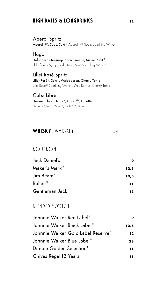### **HIGH BALLS & LONGDRINKS <sup>12</sup>**

#### Aperol Spritz Aperol 11519), Soda, Sekt<sup>51</sup> Aperol 11519), Soda, Sparkling Wine<sup>51</sup>

Hugo Holunderblütensirup, Soda, Limette, Minze, Sekt<sup>5)</sup> Elderflower Syrup, Soda, Lime, Mint, Sparkling Wine 5)

Lillet Rosé Spritz Lillet Rosé<sup>5)</sup>, Sekt<sup>5)</sup>, Waldbeeren, Cherry Tonic Lillet Rosé 5), Sparkling Wine 5), Wild Berries, Cherry Tonic

#### Cuba Libre Havana Club 3 Jahre 1), Cola 1)7)8), Limette Havana Club 3 Years<sup>11</sup>, Cola<sup>117181</sup>, Lime

## **WHISKY** WHISKEY 4cl

### BOURBON

| Jack Daniel's"                     | 9    |
|------------------------------------|------|
| Maker's Mark"                      | 10.5 |
| Jim Beam"                          | 10.5 |
| Bulleit"                           | 11   |
| Gentleman Jack $^{\shortparallel}$ | 13   |

### BIFNDFD SCOTCH

| Johnnie Walker Red Label"           | 9    |
|-------------------------------------|------|
| Johnnie Walker Black Label"         | 10.5 |
| Johnnie Walker Gold Label Reserve"  | 12   |
| Johnnie Walker Blue Label"          | 28   |
| Dimple Golden Selection"            | 11   |
| Chivas Regal 12 Years <sup>11</sup> | 11   |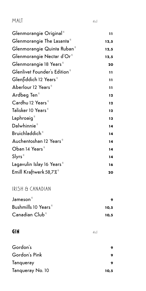### $MALI$  4cl

| Glenmorangie Original <sup>11</sup>     | 11            |
|-----------------------------------------|---------------|
| Glenmorangie The Lasanta"               | 12,5          |
| Glenmorangie Quinta Ruban <sup>11</sup> | 12,5          |
| Glenmorangie Nectar d'Or"               | 12,5          |
| Glenmorangie 18 Years <sup>11</sup>     | 20            |
| Glenlivet Founder's Edition"            | $\mathbf{11}$ |
| Glenfiddich 12 Years"                   | 11            |
| Aberlour 12 Years <sup>11</sup>         | 11            |
| Ardbeg Ten <sup>11</sup>                | 12            |
| Cardhu 12 Years"                        | 12            |
| Talisker 10 Years"                      | 12            |
| Laphroaig $"$                           | 13            |
| Dalwhinnie <sup>1)</sup>                | 14            |
| Bruichladdich <sup>11</sup>             | 14            |
| Auchentoshan 12 Years"                  | 14            |
| Oban 14 Years"                          | 14            |
| $S\vert yrs$ <sup>1)</sup>              | 14            |
| Lagavulin Islay 16 Years"               | 16            |
| Emill Kraftwerk 58,7 $\%$ <sup>"</sup>  | 20            |

### IRISH & CANADIAN

| $J$ ameson $"$                   |      |  |  |
|----------------------------------|------|--|--|
| Bushmills 10 Years <sup>11</sup> | 10.5 |  |  |
| Canadian Club <sup>11</sup>      | 10.5 |  |  |

#### **GIN** 4cl

| Gordon's         |      |
|------------------|------|
| Gordon's Pink    |      |
| Tangueray        |      |
| Tangueray No. 10 | 10,5 |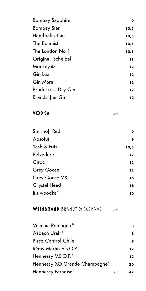| <b>Bombay Sapphire</b>    | 9     |
|---------------------------|-------|
| <b>Bombay Star</b>        | 10,5  |
| Hendrick's Gin            | 10, 5 |
| The Botanist              | 10, 5 |
| The London No. 1          | 10,5  |
| Original, Scheibel        | 11    |
| Monkey 47                 | 12    |
| Gin Luz                   | 12    |
| <b>Gin Mare</b>           | 12    |
| <b>Bruderkuss Dry Gin</b> | 12    |
| <b>Brandstifter Gin</b>   | 12    |

## **VODKA**

 $4c$ 

| Smirnoff Red         | 9    |
|----------------------|------|
| Absolut              | 9    |
| Sash & Fritz         | 10,5 |
| Belvedere            | 12   |
| Cîroc                | 12   |
| <b>Grey Goose</b>    | 12   |
| <b>Grey Goose VX</b> | 16   |
| Crystel Head         | 16   |
| It's woodka"         | 16   |

# WEINBRAND BRANDY & COGNAC 4cl

| Vecchia Romagna 1151            |    | 8  |
|---------------------------------|----|----|
| Asbach Uralı "                  |    | 8  |
| Pisco Control Chile             |    | 9  |
| Rémy Martin V.S.O.P."           |    | 12 |
| Hennessy V.S.O.P. <sup>11</sup> |    | 12 |
| Hennessy XO Grande Champagne"   |    | 26 |
| Hennessy Paradise"              | 2c | 42 |
|                                 |    |    |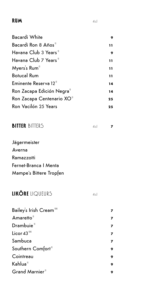### **RUM**  $4c$

| <b>Bacardi White</b>                   | 9               |
|----------------------------------------|-----------------|
| Bacardi Ron 8 Años <sup>11</sup>       | 11              |
| Havana Club 3 Years <sup>11</sup>      | 9               |
| Havana Club 7 Years <sup>11</sup>      | 11              |
| Myers's Rum"                           | $\overline{11}$ |
| <b>Botucal Rum</b>                     | 11              |
| Eminente Reserva 12"                   | 14              |
| Ron Zacapa Edición Negra <sup>11</sup> | 14              |
| Ron Zacapa Centenario XO <sup>11</sup> | 25              |
| Ron Vacilón 25 Years                   | 25              |

| <b>BITTER BITTERS</b> |  |  |
|-----------------------|--|--|
|                       |  |  |

Jägermeister Averna Ramazzotti Fernet-Branca I Menta Mampe´s Bittere Tropfen

# **LIKÖRE** LIQUEURS 4cl

| 9 |
|---|
| 9 |
| 9 |
| 9 |
|   |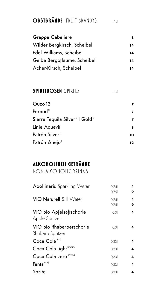# **OBSTBRÄNDE** FRUIT BRANDYS 4cl

| Grappa Cabeliere            | 8  |
|-----------------------------|----|
| Wilder Bergkirsch, Scheibel | 14 |
| Edel Williams, Scheibel     | 14 |
| Gelbe Bergpflaume, Scheibel | 14 |
| Acher-Kirsch, Scheibel      | 14 |

### **SPIRITUOSEN** SPIRITS 4cl

Ouzo12 **<sup>7</sup>**  $Pernod<sup>1</sup>$ **7** Sierra Tequila Silver<sup>5)</sup> | Gold<sup>5)</sup> **7** Linie Aquavit **<sup>8</sup>** Patrón Silver<sup>11</sup> **10** Patrón Añejo<sup>11</sup> **12** 

## **ALKOHOLFREIE GETRÄNKE**

NON-ALCOHOLIC DRINKS

| <b>Apollinaris</b> Sparkling Water           | 0,25<br>0,75 | 4<br>9 |
|----------------------------------------------|--------------|--------|
| <b>VIO Naturell</b> Still Water              | 0,25<br>0,75 | 4<br>9 |
| VIO bio Apfelsaftschorle<br>Apple Spritzer   | 0,31         | 4      |
| VIO bio Rhabarberschorle<br>Rhubarb Spritzer | 0.31         | 4      |
| Coca Cola <sup>117181</sup>                  | 0,331        | 4      |
| Coca Cola light <sup>117181101</sup>         | 0,331        | 4      |
| Coca Cola zero <sup>117181101</sup>          | 0,331        | 4      |
| Fanta <sup>1)7)8)</sup>                      | 0.331        | 4      |
| Sprite                                       | 0.331        | 4      |
|                                              |              |        |